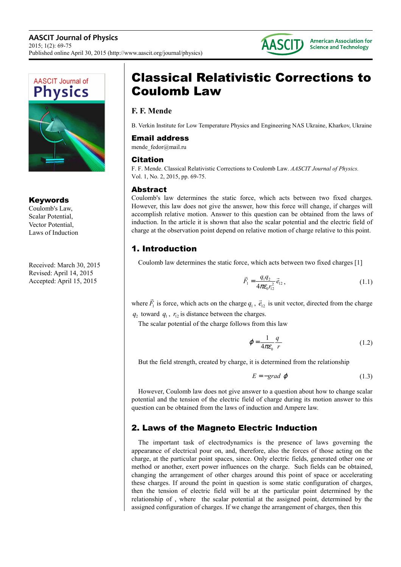



### **Keywords**

Coulomb's Law, Scalar Potential, Vector Potential, Laws of Induction

Received: March 30, 2015 Revised: April 14, 2015 Accepted: April 15, 2015

# Classical Relativistic Corrections to Coulomb Law

# **F. F. Mende**

B. Verkin Institute for Low Temperature Physics and Engineering NAS Ukraine, Kharkov, Ukraine

#### Email address

mende fedor@mail.ru

#### Citation

F. F. Mende. Classical Relativistic Corrections to Coulomb Law. *AASCIT Journal of Physics.*  Vol. 1, No. 2, 2015, pp. 69-75.

#### Abstract

Coulomb's law determines the static force, which acts between two fixed charges. However, this law does not give the answer, how this force will change, if charges will accomplish relative motion. Answer to this question can be obtained from the laws of induction. In the article it is shown that also the scalar potential and the electric field of charge at the observation point depend on relative motion of charge relative to this point.

# 1. Introduction

Coulomb law determines the static force, which acts between two fixed charges [1]

$$
\vec{F}_1 = \frac{q_1 q_2}{4\pi \epsilon_0 r_{12}^2} \vec{e}_{12} ,
$$
 (1.1)

where  $F_1$  $\overline{\phantom{a}}$ is force, which acts on the charge  $q_1$ ,  $\vec{e}_{12}$  $\overline{\phantom{a}}$  is unit vector, directed from the charge  $q_2$  toward  $q_1$ ,  $r_{12}$  is distance between the charges.

The scalar potential of the charge follows from this law

$$
\varphi = \frac{1}{4\pi\varepsilon_0} \frac{q}{r} \tag{1.2}
$$

But the field strength, created by charge, it is determined from the relationship

$$
E = -grad \varphi \tag{1.3}
$$

However, Coulomb law does not give answer to a question about how to change scalar potential and the tension of the electric field of charge during its motion answer to this question can be obtained from the laws of induction and Ampere law.

# 2. Laws of the Magneto Electric Induction

The important task of electrodynamics is the presence of laws governing the appearance of electrical pour on, and, therefore, also the forces of those acting on the charge, at the particular point spaces, since. Only electric fields, generated other one or method or another, exert power influences on the charge. Such fields can be obtained, changing the arrangement of other charges around this point of space or accelerating these charges. If around the point in question is some static configuration of charges, then the tension of electric field will be at the particular point determined by the relationship of , where the scalar potential at the assigned point, determined by the assigned configuration of charges. If we change the arrangement of charges, then this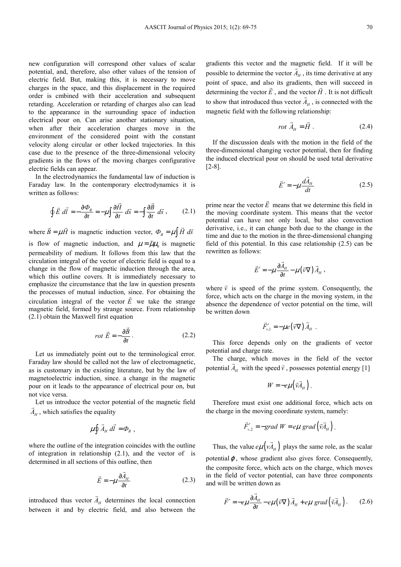new configuration will correspond other values of scalar potential, and, therefore, also other values of the tension of electric field. But, making this, it is necessary to move charges in the space, and this displacement in the required order is cmbined with their acceleration and subsequent retarding. Acceleration or retarding of charges also can lead to the appearance in the surrounding space of induction electrical pour on. Can arise another stationary situation, when after their acceleration charges move in the environment of the considered point with the constant velocity along circular or other locked trajectories. In this case due to the presence of the three-dimensional velocity gradients in the flows of the moving charges configurative electric fields can appear.

In the electrodynamics the fundamental law of induction is Faraday law. In the contemporary electrodynamics it is written as follows:

$$
\oint \vec{E} \ d\vec{l} = -\frac{\partial \Phi_{B}}{\partial t} = -\mu \int \frac{\partial \vec{H}}{\partial t} \ d\vec{s} = -\int \frac{\partial \vec{B}}{\partial t} \ d\vec{s} \ , \qquad (2.1)
$$

where  $B = \mu H$  $\vec{B} = \mu \vec{H}$  is magnetic induction vector,  $\Phi_B = \mu \int \vec{H} d\vec{s}$ is flow of magnetic induction, and  $\mu = \tilde{\mu}\mu_0$  is magnetic permeability of medium. It follows from this law that the circulation integral of the vector of electric field is equal to a change in the flow of magnetic induction through the area, which this outline covers. It is immediately necessary to emphasize the circumstance that the law in question presents the processes of mutual induction, since. For obtaining the circulation integral of the vector  $E$  we take the strange magnetic field, formed by strange source. From relationship (2.1) obtain the Maxwell first equation

$$
rot \vec{E} = -\frac{\partial \vec{B}}{\partial t}.
$$
 (2.2)

Let us immediately point out to the terminological error. Faraday law should be called not the law of electromagnetic, as is customary in the existing literature, but by the law of magnetoelectric induction, since. a change in the magnetic pour on it leads to the appearance of electrical pour on, but not vice versa.

Let us introduce the vector potential of the magnetic field  $A_H$ , which satisfies the equality  $\rightarrow$ 

$$
\mu \oint \vec{A}_H \, d\vec{l} = \Phi_B \ ,
$$

where the outline of the integration coincides with the outline of integration in relationship (2.1), and the vector of is determined in all sections of this outline, then

$$
\vec{E} = -\mu \frac{\partial \vec{A}_H}{\partial t}
$$
 (2.3)

introduced thus vector  $A_H$  determines the local connection between it and by electric field, and also between the

 $\overline{\phantom{a}}$ 

gradients this vector and the magnetic field. If it will be possible to determine the vector  $A_H$ , its time derivative at any point of space, and also its gradients, then will succeed in determining the vector  $E$ , and the vector  $H$ . It is not difficult to show that introduced thus vector  $A_H$ , is connected with the magnetic field with the following relationship:

$$
rot \vec{A}_H = \vec{H} \ . \tag{2.4}
$$

If the discussion deals with the motion in the field of the three-dimensional changing vector potential, then for finding the induced electrical pour on should be used total derivative [2-8].

$$
\vec{E}' = -\mu \frac{d\vec{A}_H}{dt} \tag{2.5}
$$

prime near the vector *E*  $\overline{a}$  means that we determine this field in the moving coordinate system. This means that the vector potential can have not only local, but also convection derivative, i.e., it can change both due to the change in the time and due to the motion in the three-dimensional changing field of this potential. In this case relationship (2.5) can be rewritten as follows:

$$
\vec{E}' = -\mu \frac{\partial \vec{A}_H}{\partial t} - \mu (\vec{v} \nabla) \vec{A}_H,
$$

where  $\vec{v}$  is speed of the prime system. Consequently, the force, which acts on the charge in the moving system, in the absence the dependence of vector potential on the time, will be written down

$$
\vec{F}_{v,1}' = -\mu e (\vec{v} \nabla) \vec{A}_{H} .
$$

This force depends only on the gradients of vector potential and charge rate.

The charge, which moves in the field of the vector potential  $\vec{A}_H$  with the speed  $\vec{v}$ , possesses potential energy [1]

$$
W=-e\mu\big(\vec{v}\vec{A}_{H}\big).
$$

Therefore must exist one additional force, which acts on the charge in the moving coordinate system, namely:

$$
\vec{F}_{v,2}^{\prime} = -\text{grad } W = e\mu \text{ grad} \left( \vec{v} \vec{A}_{H} \right).
$$

 $\overline{a}$ 

Thus, the value  $e\mu(vA_H)$  plays the same role, as the scalar potential $\varphi$ , whose gradient also gives force. Consequently, the composite force, which acts on the charge, which moves in the field of vector potential, can have three components and will be written down as

$$
\vec{F}' = -e\mu \frac{\partial \vec{A}_H}{\partial t} - e\mu (\vec{v} \nabla) \vec{A}_H + e\mu \text{ grad} (\vec{v} \vec{A}_H). \quad (2.6)
$$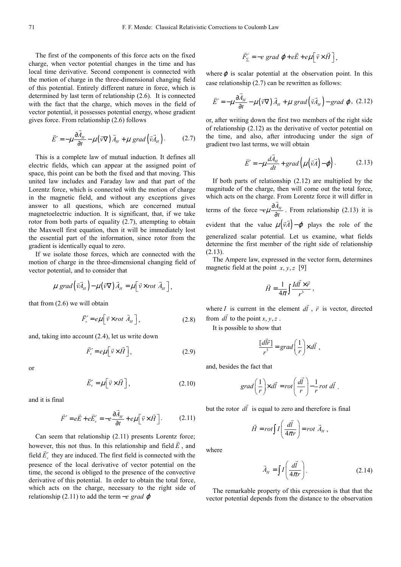The first of the components of this force acts on the fixed charge, when vector potential changes in the time and has local time derivative. Second component is connected with the motion of charge in the three-dimensional changing field of this potential. Entirely different nature in force, which is determined by last term of relationship (2.6). It is connected with the fact that the charge, which moves in the field of vector potential, it possesses potential energy, whose gradient gives force. From relationship (2.6) follows

$$
\vec{E}' = -\mu \frac{\partial \vec{A}_H}{\partial t} - \mu (\vec{v} \nabla) \vec{A}_H + \mu \text{ grad} (\vec{v} \vec{A}_H).
$$
 (2.7)

This is a complete law of mutual induction. It defines all electric fields, which can appear at the assigned point of space, this point can be both the fixed and that moving. This united law includes and Faraday law and that part of the Lorentz force, which is connected with the motion of charge in the magnetic field, and without any exceptions gives answer to all questions, which are concerned mutual magnetoelectric induction. It is significant, that, if we take rotor from both parts of equality (2.7), attempting to obtain the Maxwell first equation, then it will be immediately lost the essential part of the information, since rotor from the gradient is identically equal to zero.

If we isolate those forces, which are connected with the motion of charge in the three-dimensional changing field of vector potential, and to consider that

$$
\mu \, grad\left(\vec{v}\vec{A}_{H}\right)-\mu\left(\vec{v}\nabla\right)\vec{A}_{H}=\mu\left[\vec{v}\times rot\ \vec{A}_{H}\right],
$$

that from (2.6) we will obtain

$$
\vec{F}_v' = e\mu \left[ \vec{v} \times rot \vec{A}_H \right],
$$
 (2.8)

and, taking into account (2.4), let us write down

$$
\vec{F}_v' = e\mu \left[ \vec{v} \times \vec{H} \right],\tag{2.9}
$$

or

$$
\vec{E}'_{\nu} = \mu \left[ \vec{v} \times \vec{H} \right], \tag{2.10}
$$

and it is final

$$
\vec{F}' = e\vec{E} + e\vec{E}'_{\nu} = -e\frac{\partial \vec{A}_{H}}{\partial t} + e\mu \left[\vec{v} \times \vec{H}\right].
$$
 (2.11)

Can seem that relationship  $(2.11)$  presents Lorentz force; however, this not thus. In this relationship and field  $E$ , and field  $\vec{E}'_v$ , they are induced. The first field is connected with the presence of the local derivative of vector potential on the time, the second is obliged to the presence of the convective derivative of this potential. In order to obtain the total force, which acts on the charge, necessary to the right side of relationship (2.11) to add the term −*e grad* ϕ

$$
\vec{F}'_{\Sigma} = -e \text{ grad } \varphi + e\vec{E} + e\mu \left[ \vec{v} \times \vec{H} \right],
$$

where  $\varphi$  is scalar potential at the observation point. In this case relationship (2.7) can be rewritten as follows:

$$
\vec{E}' = -\mu \frac{\partial \vec{A}_H}{\partial t} - \mu (\vec{v} \nabla) \vec{A}_H + \mu \, grad (\vec{v} \vec{A}_H) - grad \varphi, (2.12)
$$

or, after writing down the first two members of the right side of relationship (2.12) as the derivative of vector potential on the time, and also, after introducing under the sign of gradient two last terms, we will obtain

$$
\vec{E}' = -\mu \frac{d\vec{A}_{H}}{dt} + grad\left(\mu(\vec{v}\vec{A}) - \varphi\right).
$$
 (2.13)

If both parts of relationship (2.12) are multiplied by the magnitude of the charge, then will come out the total force, which acts on the charge. From Lorentz force it will differ in terms of the force  $-e\mu \frac{\partial A_{H}}{\partial t}$ . From relationship (2.13) it is evident that the value  $\mu(\vec{v}A) - \varphi$  plays the role of the  $\overline{a}$ generalized scalar potential. Let us examine, what fields determine the first member of the right side of relationship (2.13).

The Ampere law, expressed in the vector form, determines magnetic field at the point  $x, y, z$  [9]

$$
\vec{H} = \frac{1}{4\pi} \int \frac{I d\vec{l} \times \vec{r}}{r^3} ,
$$

where *I* is current in the element *dl*  $\overline{a}$ is current in the element  $d\vec{l}$ ,  $\vec{r}$  is vector, directed from  $dl$  to the point  $x, y, z$ .

It is possible to show that

$$
\frac{[d\vec{l}\vec{r}]}{r^3} = grad\left(\frac{1}{r}\right) \times d\vec{l} ,
$$

and, besides the fact that

$$
grad\left(\frac{1}{r}\right) \times d\vec{l} = rot\left(\frac{d\vec{l}}{r}\right) - \frac{1}{r}rot \ d\vec{l} .
$$

but the rotor *dl*  $\overline{\phantom{a}}$ is equal to zero and therefore is final

$$
\vec{H} = rot \int I \left( \frac{d\vec{l}}{4\pi r} \right) = rot \vec{A}_{H} ,
$$

where

$$
\vec{A}_H = \int I \left( \frac{d\vec{l}}{4\pi r} \right). \tag{2.14}
$$

The remarkable property of this expression is that that the vector potential depends from the distance to the observation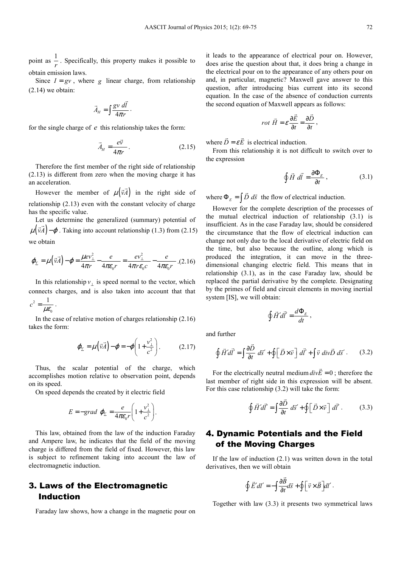point as  $\frac{1}{r}$ . Specifically, this property makes it possible to obtain emission laws.

Since  $I = gv$ , where *g* linear charge, from relationship  $(2.14)$  we obtain:

$$
\vec{A}_H = \int \frac{g v \, d\vec{l}}{4\pi r} \, .
$$

for the single charge of *e* this relationship takes the form:

$$
\vec{A}_H = \frac{e\vec{v}}{4\pi r} \,. \tag{2.15}
$$

Therefore the first member of the right side of relationship (2.13) is different from zero when the moving charge it has an acceleration.

However the member of  $\mu(\vec{v}A)$  $\vec{v} \cdot \vec{A}$  in the right side of relationship (2.13) even with the constant velocity of charge has the specific value.

Let us determine the generalized (summary) potential of  $(3)$  $\mu(\vec{v}A) - \varphi$ . Taking into account relationship (1.3) from (2.15) we obtain

$$
\varphi_{\Sigma} = \mu \left( \vec{v} \vec{A} \right) - \varphi = \frac{\mu e v_{\perp}^2}{4 \pi r} - \frac{e}{4 \pi \varepsilon_0 r} = \frac{e v_{\perp}^2}{4 \pi \varepsilon_0 c} - \frac{e}{4 \pi \varepsilon_0 r} \tag{2.16}
$$

In this relationship  $v_{\perp}$  is speed normal to the vector, which connects charges, and is also taken into account that that 2  $c^2 = \frac{1}{\mu \varepsilon_0}$ .

In the case of relative motion of charges relationship (2.16) takes the form:

0

$$
\varphi_{\Sigma} = \mu \left( \vec{v} \vec{A} \right) - \varphi = -\varphi \left( 1 + \frac{v_{\perp}^2}{c^2} \right). \tag{2.17}
$$

Thus, the scalar potential of the charge, which accomplishes motion relative to observation point, depends on its speed.

On speed depends the created by it electric field

$$
E = -grad \varphi_{\Sigma} = \frac{e}{4\pi\epsilon_0 r} \left( 1 + \frac{v_{\perp}^2}{c^2} \right).
$$

This law, obtained from the law of the induction Faraday and Ampere law, he indicates that the field of the moving charge is differed from the field of fixed. However, this law is subject to refinement taking into account the law of electromagnetic induction.

# 3. Laws of the Electromagnetic Induction

Faraday law shows, how a change in the magnetic pour on

it leads to the appearance of electrical pour on. However, does arise the question about that, it does bring a change in the electrical pour on to the appearance of any others pour on and, in particular, magnetic? Maxwell gave answer to this question, after introducing bias current into its second equation. In the case of the absence of conduction currents the second equation of Maxwell appears as follows:

$$
rot \ \vec{H} = \varepsilon \frac{\partial \vec{E}}{\partial t} = \frac{\partial \vec{D}}{\partial t} \,,
$$

where  $D = \varepsilon E$  $\overline{a}$ is electrical induction.

From this relationship it is not difficult to switch over to the expression

$$
\oint \vec{H} \ d\vec{l} = \frac{\partial \Phi_E}{\partial t} \,, \tag{3.1}
$$

where  $\Phi_E = \int \vec{D} \ d\vec{s}$  the flow of electrical induction.

However for the complete description of the processes of the mutual electrical induction of relationship (3.1) is insufficient. As in the case Faraday law, should be considered the circumstance that the flow of electrical induction can change not only due to the local derivative of electric field on the time, but also because the outline, along which is produced the integration, it can move in the threedimensional changing electric field. This means that in relationship (3.1), as in the case Faraday law, should be replaced the partial derivative by the complete. Designating by the primes of field and circuit elements in moving inertial system [IS], we will obtain:

$$
\oint \vec{H}' d\vec{l}' = \frac{d\Phi_E}{dt},
$$

and further

$$
\oint \vec{H}' d\vec{l}' = \int \frac{\partial \vec{D}}{\partial t} d\vec{s}' + \oint \left[ \vec{D} \times \vec{v} \right] d\vec{l}' + \int \vec{v} \, div \vec{D} \, d\vec{s}'. \tag{3.2}
$$

For the electrically neutral medium  $divE = 0$  $\overline{a}$ ; therefore the last member of right side in this expression will be absent. For this case relationship (3.2) will take the form:

$$
\oint \vec{H}' d\vec{l}' = \int \frac{\partial \vec{D}}{\partial t} d\vec{s}' + \oint \left[ \vec{D} \times \vec{v} \right] d\vec{l}' . \tag{3.3}
$$

# 4. Dynamic Potentials and the Field of the Moving Charges

If the law of induction (2.1) was written down in the total derivatives, then we will obtain

$$
\oint \vec{E}' dl' = -\int \frac{\partial \vec{B}}{\partial t} d\vec{s} + \oint \left[ \vec{v} \times \vec{B} \right] dl'.
$$

Together with law (3.3) it presents two symmetrical laws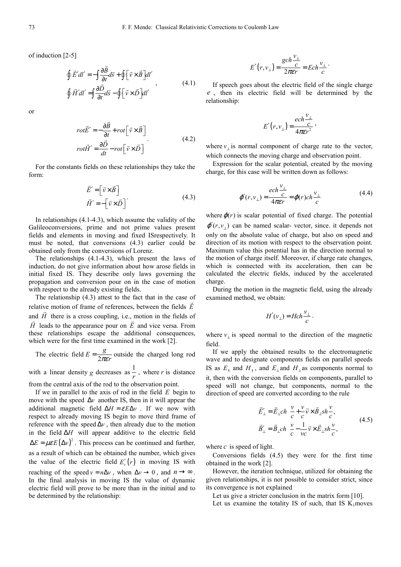of induction [2-5]

$$
\oint \vec{E}' dl' = -\int \frac{\partial \vec{B}}{\partial t} d\vec{s} + \oint \left[ \vec{v} \times \vec{B} \right] dl'
$$
\n
$$
\oint \vec{H}' dl' = \int \frac{\partial \vec{D}}{\partial t} d\vec{s} - \oint \left[ \vec{v} \times \vec{D} \right] dl'
$$
\n(4.1)

or

$$
rot\vec{E}' = -\frac{\partial \vec{B}}{\partial t} + rot \left[\vec{v} \times \vec{B}\right]
$$
  

$$
rot\vec{H}' = \frac{\partial \vec{D}}{\partial t} - rot \left[\vec{v} \times \vec{D}\right]
$$
 (4.2)

For the constants fields on these relationships they take the form:

$$
\vec{E}' = \begin{bmatrix} \vec{v} \times \vec{B} \end{bmatrix} \n\vec{H}' = -\begin{bmatrix} \vec{v} \times \vec{D} \end{bmatrix}
$$
\n(4.3)

In relationships (4.1-4.3), which assume the validity of the Galileoconversions, prime and not prime values present fields and elements in moving and fixed ISrespectively. It must be noted, that conversions (4.3) earlier could be obtained only from the conversions of Lorenz.

The relationships (4.1-4.3), which present the laws of induction, do not give information about how arose fields in initial fixed IS. They describe only laws governing the propagation and conversion pour on in the case of motion with respect to the already existing fields.

The relationship  $(4.3)$  attest to the fact that in the case of relative motion of frame of references, between the fields *E* and  $H$  there is a cross coupling, i.e., motion in the fields of *H* leads to the appearance pour on *E* and vice versa. From these relationships escape the additional consequences, which were for the first time examined in the work [2].

The electric field  $E = \frac{g}{2\pi\epsilon r}$  outside the charged long rod with a linear density *g* decreases as  $\frac{1}{r}$ , where *r* is distance from the central axis of the rod to the observation point.

If we in parallel to the axis of rod in the field *E* begin to move with the speed ∆*v* another IS, then in it will appear the additional magnetic field  $\Delta H = \varepsilon E \Delta v$ . If we now with respect to already moving IS begin to move third frame of reference with the speed  $\Delta v$ , then already due to the motion in the field ∆*H* will appear additive to the electric field  $\Delta E = \mu \varepsilon E (\Delta v)^2$ . This process can be continued and further, as a result of which can be obtained the number, which gives the value of the electric field  $E'_v(r)$  in moving IS with reaching of the speed  $v = n\Delta v$ , when  $\Delta v \rightarrow 0$ , and  $n \rightarrow \infty$ . In the final analysis in moving IS the value of dynamic electric field will prove to be more than in the initial and to be determined by the relationship:

$$
E'(r, v_{\perp}) = \frac{gch\frac{v_{\perp}}{c}}{2\pi\epsilon r} = Ech\frac{v_{\perp}}{c}.
$$

If speech goes about the electric field of the single charge *e* , then its electric field will be determined by the relationship:

$$
E'(r, v_{\perp}) = \frac{ech \frac{v_{\perp}}{c}}{4\pi \varepsilon r^2},
$$

where  $v_{\perp}$  is normal component of charge rate to the vector, which connects the moving charge and observation point.

Expression for the scalar potential, created by the moving charge, for this case will be written down as follows:

$$
\varphi'(r, v_{\perp}) = \frac{ech \frac{v_{\perp}}{c}}{4\pi \varepsilon r} = \varphi(r) ch \frac{v_{\perp}}{c}
$$
(4.4)

where  $\varphi(r)$  is scalar potential of fixed charge. The potential  $\varphi'(r, v_+)$  can be named scalar-vector, since. it depends not only on the absolute value of charge, but also on speed and direction of its motion with respect to the observation point. Maximum value this potential has in the direction normal to the motion of charge itself. Moreover, if charge rate changes, which is connected with its acceleration, then can be calculated the electric fields, induced by the accelerated charge.

During the motion in the magnetic field, using the already examined method, we obtain:

$$
H'(v_{\perp}) = Hch \frac{v_{\perp}}{c}.
$$

where  $v_{\perp}$  is speed normal to the direction of the magnetic field.

If we apply the obtained results to the electromagnetic wave and to designate components fields on parallel speeds IS as  $E_{\uparrow}$  and  $H_{\uparrow}$ , and  $E_{\perp}$  and  $H_{\perp}$  as components normal to it, then with the conversion fields on components, parallel to speed will not change, but components, normal to the direction of speed are converted according to the rule

$$
\vec{E}'_{\perp} = \vec{E}_{\perp} ch \frac{v}{c} + \frac{v}{c} \vec{v} \times \vec{B}_{\perp} sh \frac{v}{c},
$$
\n
$$
\vec{B}'_{\perp} = \vec{B}_{\perp} ch \frac{v}{c} - \frac{1}{vc} \vec{v} \times \vec{E}_{\perp} sh \frac{v}{c},
$$
\n(4.5)

where *c* is speed of light.

Conversions fields (4.5) they were for the first time obtained in the work [2].

However, the iteration technique, utilized for obtaining the given relationships, it is not possible to consider strict, since its convergence is not explained

Let us give a stricter conclusion in the matrix form [10].

Let us examine the totality IS of such, that IS  $K_1$ moves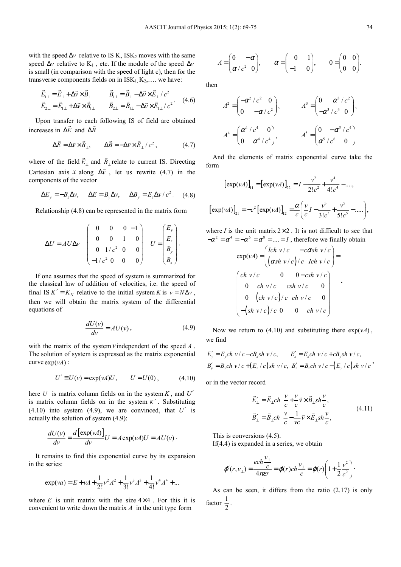with the speed  $\Delta v$  relative to IS K, ISK<sub>2</sub> moves with the same speed  $\Delta v$  relative to K<sub>1</sub>, etc. If the module of the speed  $\Delta v$ is small (in comparison with the speed of light c), then for the transverse components fields on in  $ISK_1, K_2, \ldots$  we have:

$$
\vec{E}_{1\perp} = \vec{E}_{\perp} + \Delta \vec{v} \times \vec{B}_{\perp} \qquad \vec{B}_{1\perp} = \vec{B}_{\perp} - \Delta \vec{v} \times \vec{E}_{\perp} / c^2 \n\vec{E}_{2\perp} = \vec{E}_{1\perp} + \Delta \vec{v} \times \vec{B}_{1\perp} \qquad \vec{B}_{2\perp} = \vec{B}_{1\perp} - \Delta \vec{v} \times \vec{E}_{1\perp} / c^2
$$
\n(4.6)

Upon transfer to each following IS of field are obtained increases in ∆*E* and ∆*B*

$$
\Delta \vec{E} = \Delta \vec{v} \times \vec{B}_{\perp}, \qquad \Delta \vec{B} = -\Delta \vec{v} \times \vec{E}_{\perp} / c^2, \tag{4.7}
$$

where of the field *E*<sup>⊥</sup>  $\overline{a}$ and  $B_{\perp}$  $\overline{a}$ relate to current IS. Directing Cartesian axis *x* along  $\Delta \vec{v}$ , let us rewrite (4.7) in the components of the vector

$$
\Delta E_y = -B_z \Delta v, \quad \Delta E = B_y \Delta v, \quad \Delta B_y = E_z \Delta v / c^2. \quad (4.8)
$$

Relationship (4.8) can be represented in the matrix form

$$
\Delta U = A U \Delta v \begin{pmatrix} 0 & 0 & 0 & -1 \\ 0 & 0 & 1 & 0 \\ 0 & 1/c^2 & 0 & 0 \\ -1/c^2 & 0 & 0 & 0 \end{pmatrix} U = \begin{pmatrix} E_y \\ E_z \\ B_y \\ B_z \end{pmatrix}.
$$

If one assumes that the speed of system is summarized for the classical law of addition of velocities, i.e. the speed of final IS  $K' = K_N$  relative to the initial system *K* is  $v = N \Delta v$ , then we will obtain the matrix system of the differential equations of

$$
\frac{dU(v)}{dv} = AU(v),\tag{4.9}
$$

with the matrix of the system *v*independent of the speed *A* . The solution of system is expressed as the matrix exponential curve  $exp(vA)$ :

$$
U' \equiv U(\nu) = \exp(\nu A)U, \qquad U = U(0), \tag{4.10}
$$

here *U* is matrix column fields on in the system *K* , and *U*′ is matrix column fields on in the system  $K'$ . Substituting  $(4.10)$  into system  $(4.9)$ , we are convinced, that  $U'$  is actually the solution of system (4.9):

$$
\frac{dU(v)}{dv} = \frac{d\left[\exp(vA)\right]}{dv}U = A\exp(vA)U = AU(v).
$$

It remains to find this exponential curve by its expansion in the series:

$$
\exp(va) = E + vA + \frac{1}{2!}v^2A^2 + \frac{1}{3!}v^3A^3 + \frac{1}{4!}v^4A^4 + \dots
$$

where  $E$  is unit matrix with the size  $4 \times 4$ . For this it is convenient to write down the matrix *A* in the unit type form

$$
A = \begin{pmatrix} 0 & -\alpha \\ \alpha/c^2 & 0 \end{pmatrix}, \qquad \alpha = \begin{pmatrix} 0 & 1 \\ -1 & 0 \end{pmatrix}, \qquad 0 = \begin{pmatrix} 0 & 0 \\ 0 & 0 \end{pmatrix}.
$$

then

$$
A^{2} = \begin{pmatrix} -\alpha^{2}/c^{2} & 0 \\ 0 & -\alpha/c^{2} \end{pmatrix}, \qquad A^{3} = \begin{pmatrix} 0 & \alpha^{3}/c^{2} \\ -\alpha^{3}/c^{4} & 0 \end{pmatrix},
$$

$$
A^{4} = \begin{pmatrix} \alpha^{4}/c^{4} & 0 \\ 0 & \alpha^{4}/c^{4} \end{pmatrix}, \qquad A^{5} = \begin{pmatrix} 0 & -\alpha^{5}/c^{4} \\ \alpha^{5}/c^{6} & 0 \end{pmatrix}
$$

And the elements of matrix exponential curve take the form

$$
[\exp(\nu A)]_{11} = [\exp(\nu A)]_{22} = I - \frac{\nu^2}{2!c^2} + \frac{\nu^4}{4!c^4} - \dots,
$$
  

$$
[\exp(\nu A)]_{21} = -c^2 [\exp(\nu A)]_{12} = \frac{\alpha}{c} \left( \frac{\nu}{c} I - \frac{\nu^3}{3!c^3} + \frac{\nu^5}{5!c^5} - \dots \right),
$$

where  $I$  is the unit matrix  $2 \times 2$ . It is not difficult to see that  $-\alpha^2 = \alpha^4 = -\alpha^6 = \alpha^8 = \dots = I$ , therefore we finally obtain

$$
\exp(\nu A) = \begin{pmatrix} Ich & v/c & -c\alpha sh & v/c \\ \left(\alpha sh & v/c\right)/c & Ich & v/c \end{pmatrix} =
$$
\n
$$
\begin{pmatrix} ch & v/c & 0 & 0 - \cosh v/c \\ 0 & ch & v/c & ch & v/c \\ 0 & \left(\frac{ch}{v/c}\right)/c & ch & v/c & 0 \\ -\left(\frac{sh}{v/c}\right)/c & 0 & 0 & ch & v/c \end{pmatrix}
$$

Now we return to (4.10) and substituting there  $exp(vA)$ , we find

$$
E'_y = E_y ch \ v/c - cB_z sh \ v/c, \qquad E'_z = E_z ch \ v/c + cB_y sh \ v/c,
$$
  

$$
B'_y = B_y ch \ v/c + (E_z/c) sh \ v/c, \quad B'_z = B_z ch \ v/c - (E_y/c) sh \ v/c'
$$

or in the vector record

$$
\vec{E}_{\perp}^{\prime} = \vec{E}_{\perp} ch \frac{v}{c} + \frac{v}{c} \vec{v} \times \vec{B}_{\perp} sh \frac{v}{c},
$$
\n
$$
\vec{B}_{\perp}^{\prime} = \vec{B}_{\perp} ch \frac{v}{c} - \frac{1}{vc} \vec{v} \times \vec{E}_{\perp} sh \frac{v}{c},
$$
\n(4.11)

This is conversions (4.5).

If(4.4) is expanded in a series, we obtain

$$
\varphi'(r, v_{\perp}) = \frac{ech \frac{v_{\perp}}{c}}{4\pi \varepsilon r} = \varphi(r) ch \frac{v_{\perp}}{c} = \varphi(r) \left(1 + \frac{1}{2} \frac{v^2}{c^2}\right).
$$

As can be seen, it differs from the ratio (2.17) is only factor  $\frac{1}{2}$ .